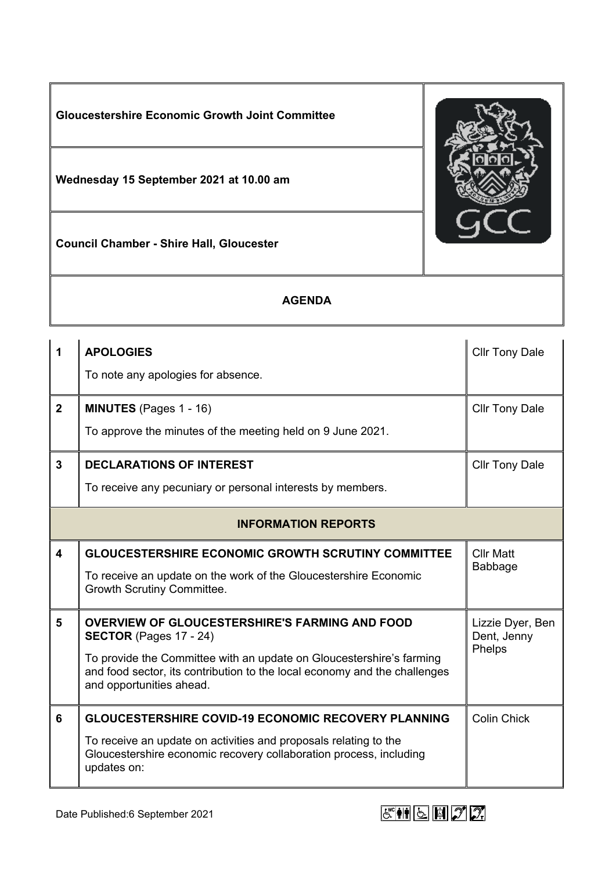

| $\overline{1}$             | <b>APOLOGIES</b><br>To note any apologies for absence.                                                                                                                                                                                                                  | <b>Cllr Tony Dale</b>                     |
|----------------------------|-------------------------------------------------------------------------------------------------------------------------------------------------------------------------------------------------------------------------------------------------------------------------|-------------------------------------------|
| $\overline{2}$             | <b>MINUTES</b> (Pages 1 - 16)<br>To approve the minutes of the meeting held on 9 June 2021.                                                                                                                                                                             | <b>Cllr Tony Dale</b>                     |
| $\mathbf{3}$               | <b>DECLARATIONS OF INTEREST</b><br>To receive any pecuniary or personal interests by members.                                                                                                                                                                           | <b>Cllr Tony Dale</b>                     |
| <b>INFORMATION REPORTS</b> |                                                                                                                                                                                                                                                                         |                                           |
| $\overline{\mathbf{4}}$    | <b>GLOUCESTERSHIRE ECONOMIC GROWTH SCRUTINY COMMITTEE</b><br>To receive an update on the work of the Gloucestershire Economic<br>Growth Scrutiny Committee.                                                                                                             | <b>Cllr Matt</b><br>Babbage               |
| 5                          | <b>OVERVIEW OF GLOUCESTERSHIRE'S FARMING AND FOOD</b><br><b>SECTOR</b> (Pages 17 - 24)<br>To provide the Committee with an update on Gloucestershire's farming<br>and food sector, its contribution to the local economy and the challenges<br>and opportunities ahead. | Lizzie Dyer, Ben<br>Dent, Jenny<br>Phelps |
| 6                          | <b>GLOUCESTERSHIRE COVID-19 ECONOMIC RECOVERY PLANNING</b><br>To receive an update on activities and proposals relating to the<br>Gloucestershire economic recovery collaboration process, including<br>updates on:                                                     | <b>Colin Chick</b>                        |

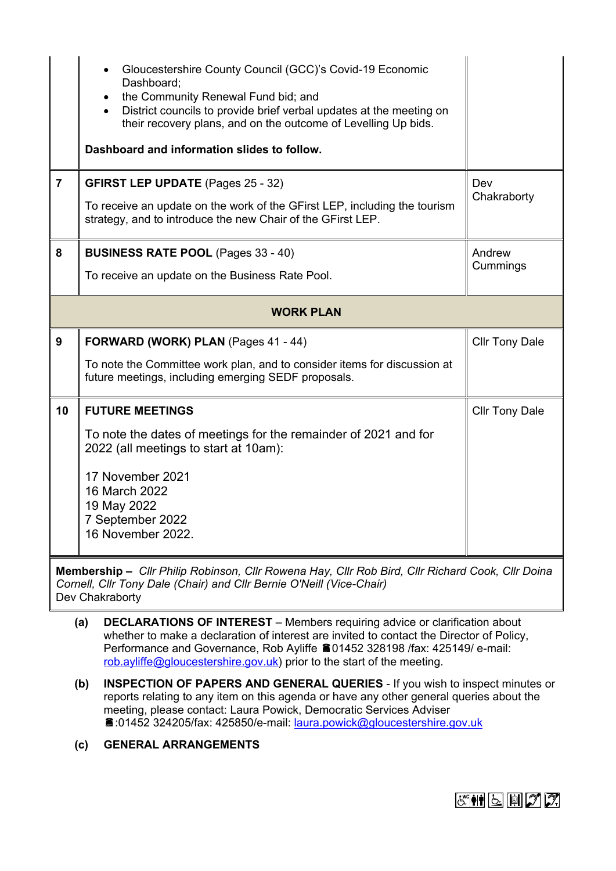|                  | Gloucestershire County Council (GCC)'s Covid-19 Economic<br>$\bullet$<br>Dashboard;<br>the Community Renewal Fund bid; and<br>$\bullet$<br>District councils to provide brief verbal updates at the meeting on<br>$\bullet$<br>their recovery plans, and on the outcome of Levelling Up bids.<br>Dashboard and information slides to follow. |                       |  |
|------------------|----------------------------------------------------------------------------------------------------------------------------------------------------------------------------------------------------------------------------------------------------------------------------------------------------------------------------------------------|-----------------------|--|
| $\overline{7}$   | <b>GFIRST LEP UPDATE (Pages 25 - 32)</b><br>To receive an update on the work of the GFirst LEP, including the tourism<br>strategy, and to introduce the new Chair of the GFirst LEP.                                                                                                                                                         | Dev<br>Chakraborty    |  |
| 8                | <b>BUSINESS RATE POOL</b> (Pages 33 - 40)<br>To receive an update on the Business Rate Pool.                                                                                                                                                                                                                                                 | Andrew<br>Cummings    |  |
| <b>WORK PLAN</b> |                                                                                                                                                                                                                                                                                                                                              |                       |  |
| $\overline{9}$   | FORWARD (WORK) PLAN (Pages 41 - 44)                                                                                                                                                                                                                                                                                                          | <b>Cllr Tony Dale</b> |  |
|                  | To note the Committee work plan, and to consider items for discussion at<br>future meetings, including emerging SEDF proposals.                                                                                                                                                                                                              |                       |  |
| 10               | <b>FUTURE MEETINGS</b>                                                                                                                                                                                                                                                                                                                       | <b>Cllr Tony Dale</b> |  |
|                  | To note the dates of meetings for the remainder of 2021 and for<br>2022 (all meetings to start at 10am):                                                                                                                                                                                                                                     |                       |  |
|                  | 17 November 2021<br>16 March 2022<br>19 May 2022<br>7 September 2022<br>16 November 2022.                                                                                                                                                                                                                                                    |                       |  |

**Membership –** *Cllr Philip Robinson, Cllr Rowena Hay, Cllr Rob Bird, Cllr Richard Cook, Cllr Doina Cornell, Cllr Tony Dale (Chair) and Cllr Bernie O'Neill (Vice-Chair)* Dev Chakraborty

- **(a) DECLARATIONS OF INTEREST** Members requiring advice or clarification about whether to make a declaration of interest are invited to contact the Director of Policy, Performance and Governance, Rob Ayliffe 201452 328198 /fax: 425149/ e-mail: [rob.ayliffe@gloucestershire.gov.uk](mailto:rob.ayliffe@gloucestershire.gov.uk)) prior to the start of the meeting.
- **(b) INSPECTION OF PAPERS AND GENERAL QUERIES** If you wish to inspect minutes or reports relating to any item on this agenda or have any other general queries about the meeting, please contact: Laura Powick, Democratic Services Adviser :01452 324205/fax: 425850/e-mail: [laura.powick@gloucestershire.gov.uk](mailto:laura.powick@gloucestershire.gov.uk)
- **(c) GENERAL ARRANGEMENTS**